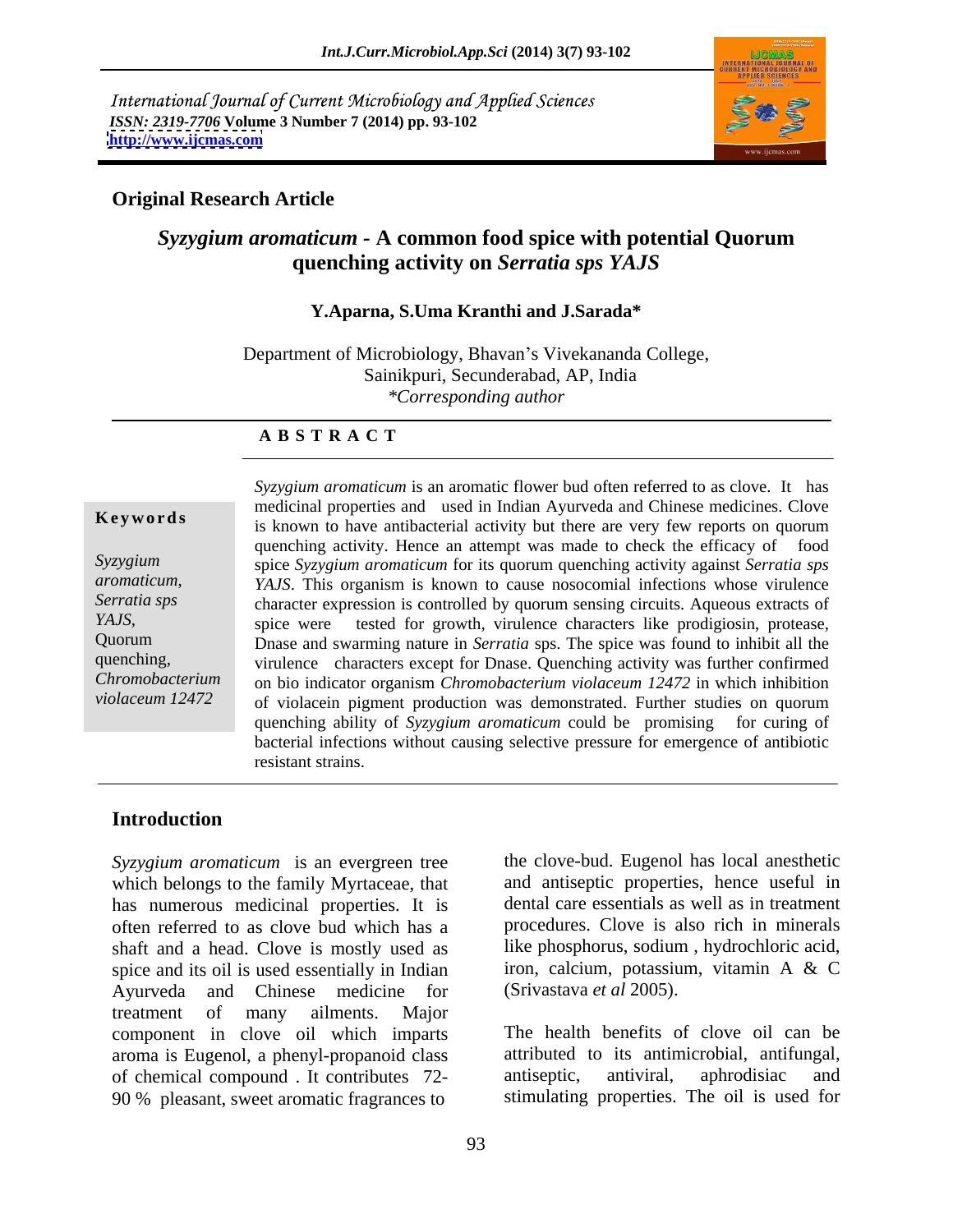International Journal of Current Microbiology and Applied Sciences *ISSN: 2319-7706* **Volume 3 Number 7 (2014) pp. 93-102 <http://www.ijcmas.com>**



### **Original Research Article**

### *Syzygium aromaticum -* **A common food spice with potential Quorum quenching activity on** *Serratia sps YAJS*

### **Y.Aparna, S.Uma Kranthi and J.Sarada\***

Department of Microbiology, Bhavan's Vivekananda College, Sainikpuri, Secunderabad, AP, India *\*Corresponding author*

### **A B S T R A C T**

**Keywords** is known to have antibacterial activity but there are very few reports on quorum *Syzygium*  spice *Syzygium aromaticum* for its quorum quenching activity against *Serratia sps aromaticum, YAJS*. This organism is known to cause nosocomial infections whose virulence Serratia sps character expression is controlled by quorum sensing circuits. Aqueous extracts of *YAJS*, spice were tested for growth, virulence characters like prodigiosin, protease, Quorum Dnase and swarming nature in *Serratia* sps. The spice was found to inhibit all the quenching, virulence characters except for Dnase. Quenching activity was further confirmed *Chromobacterium*  on bio indicator organism *Chromobacterium violaceum 12472* in which inhibition *violaceum 12472* of violacein pigment production was demonstrated. Further studies on quorum *Syzygium aromaticum* is an aromatic flower bud often referred to as clove. It has medicinal properties and used in Indian Ayurveda and Chinese medicines. Clove quenching activity. Hence an attempt was made to check the efficacy of food quenching ability of *Syzygium aromaticum* could be promising for curing of bacterial infections without causing selective pressure for emergence of antibiotic resistant strains.

### **Introduction**

*Syzygium aromaticum* is an evergreen tree which belongs to the family Myrtaceae, that has numerous medicinal properties. It is often referred to as clove bud which has a shaft and a head. Clove is mostly used as spice and its oil is used essentially in Indian Ayurveda and Chinese medicine for treatment of many ailments. Major component in clove oil which imparts aroma is Eugenol, a phenyl-propanoid class of chemical compound . It contributes 72- 90 % pleasant, sweet aromatic fragrances to

the clove-bud. Eugenol has local anesthetic and antiseptic properties, hence useful in dental care essentials as well as in treatment procedures. Clove is also rich in minerals like phosphorus, sodium , hydrochloric acid, iron, calcium, potassium, vitamin A & C (Srivastava *et al* 2005).

The health benefits of clove oil can be attributed to its antimicrobial, antifungal, antiseptic, antiviral, aphrodisiac and stimulating properties. The oil is used for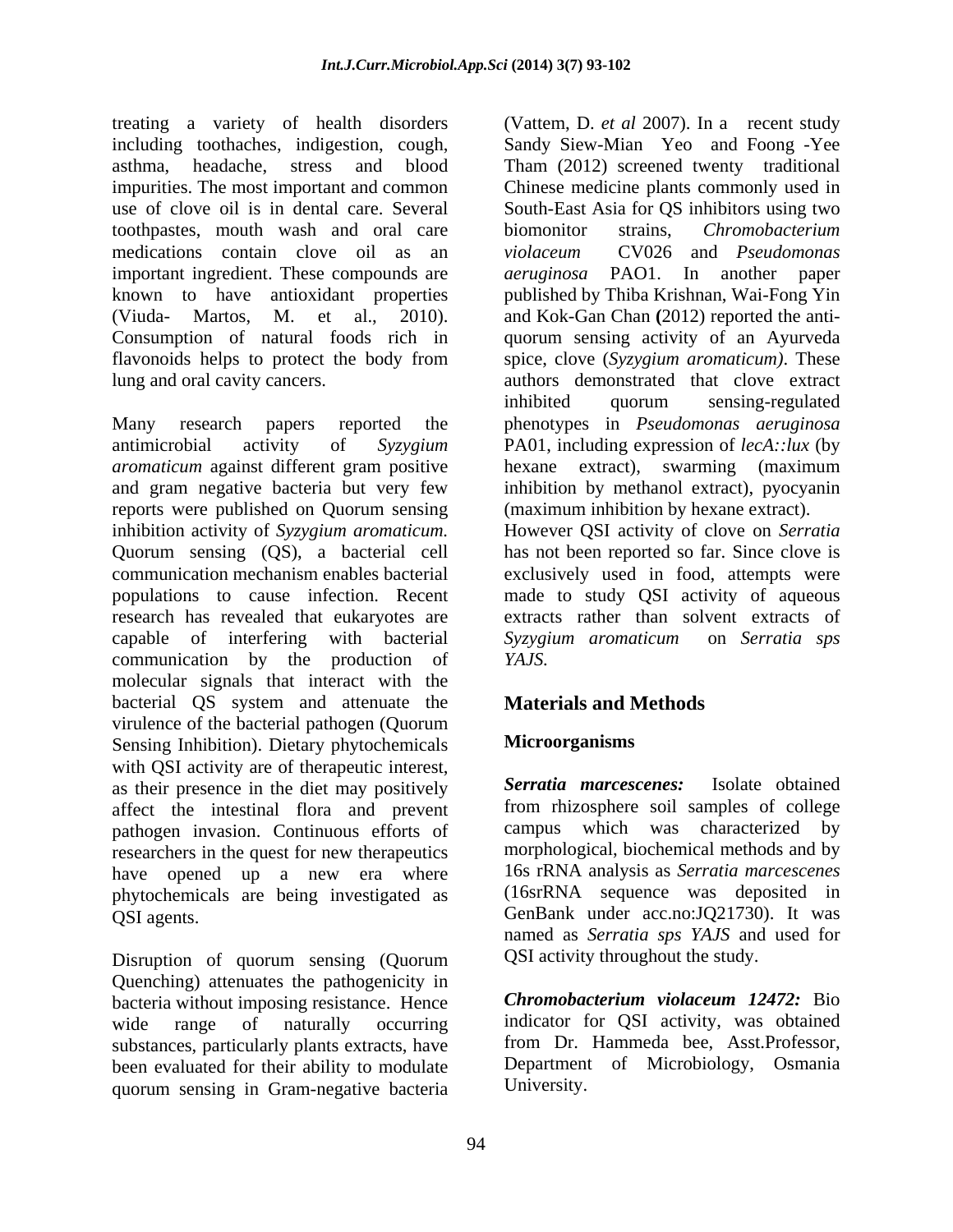treating a variety of health disorders including toothaches, indigestion, cough, Sandy Siew-Mian Yeo and Foong -Yee asthma, headache, stress and blood Tham (2012) screened twenty traditional impurities. The most important and common Chinese medicine plants commonly used in use of clove oil is in dental care. Several South-East Asia for QS inhibitors using two toothpastes, mouth wash and oral care medications contain clove oil as an violaceum CV026 and Pseudomonas important ingredient. These compounds are *aeruginosa* known to have antioxidant properties published by Thiba Krishnan, Wai-Fong Yin (Viuda- Martos, M. et al., 2010). and Kok-Gan Chan **(**2012) reported the anti- Consumption of natural foods rich in quorum sensing activity of an Ayurveda flavonoids helps to protect the body from spice, clove (*Syzygium aromaticum)*. These lung and oral cavity cancers. authors demonstrated that clove extract

Many research papers reported the phenotypes in *Pseudomonas aeruginosa* antimicrobial activity of *Syzygium* PA01, including expression of *lecA::lux* (by *aromaticum* against different gram positive bexane extract), swarming (maximum and gram negative bacteria but very few inhibition by methanol extract), pyocyanin reports were published on Quorum sensing inhibition activity of *Syzygium aromaticum.* However QSI activity of clove on *Serratia* Quorum sensing (QS), a bacterial cell has not been reported so far. Since clove is communication mechanism enables bacterial exclusively used in food, attempts were populations to cause infection. Recent made to study QSI activity of aqueous research has revealed that eukaryotes are capable of interfering with bacterial Syzygium aromaticum on Serratia sps communication by the production of *YAJS*. molecular signals that interact with the bacterial QS system and attenuate the virulence of the bacterial pathogen (Quorum Sensing Inhibition). Dietary phytochemicals with QSI activity are of therapeutic interest,<br>as their presence in the diet may positively<br>Serratia marcescenes: Isolate obtained as their presence in the diet may positively affect the intestinal flora and prevent from rhizosphere soil samples of colle<br>nathogen invasion Continuous efforts of campus which was characterized pathogen invasion. Continuous efforts of researchers in the quest for new therapeutics have opened up a new era where phytochemicals are being investigated as QSI agents. GenBank under acc.no:JQ21730). It was

Disruption of quorum sensing (Quorum Quenching) attenuates the pathogenicity in<br>
hacteria without imposing resistance Hence<br>
Chromobacterium violaceum 12472: Bio bacteria without imposing resistance. Hence wide range of naturally occurring indicator for QSI activity, was obtained substances, particularly plants extracts, have been evaluated for their ability to modulate quorum sensing in Gram-negative bacteria

(Vattem, D. *et al* 2007). In a recent study  $Chromobacterium$ *violaceum* CV026 and *Pseudomonas*  PAO1. In another paper inhibited quorum sensing-regulated hexane extract), swarming (maximum (maximum inhibition by hexane extract).

extracts rather than solvent extracts of *Syzygium aromaticum* on *Serratia sps YAJS.*

## **Materials and Methods**

### **Microorganisms**

*Serratia marcescenes:* Isolate obtained from rhizosphere soil samples of college campus which was characterized by morphological, biochemical methods and by 16s rRNA analysis as *Serratia marcescenes* (16srRNA sequence was deposited in named as *Serratia sps YAJS* and used for QSI activity throughout the study.

*Chromobacterium violaceum 12472:* Bio from Dr. Hammeda bee, Asst.Professor, Department of Microbiology, Osmania University.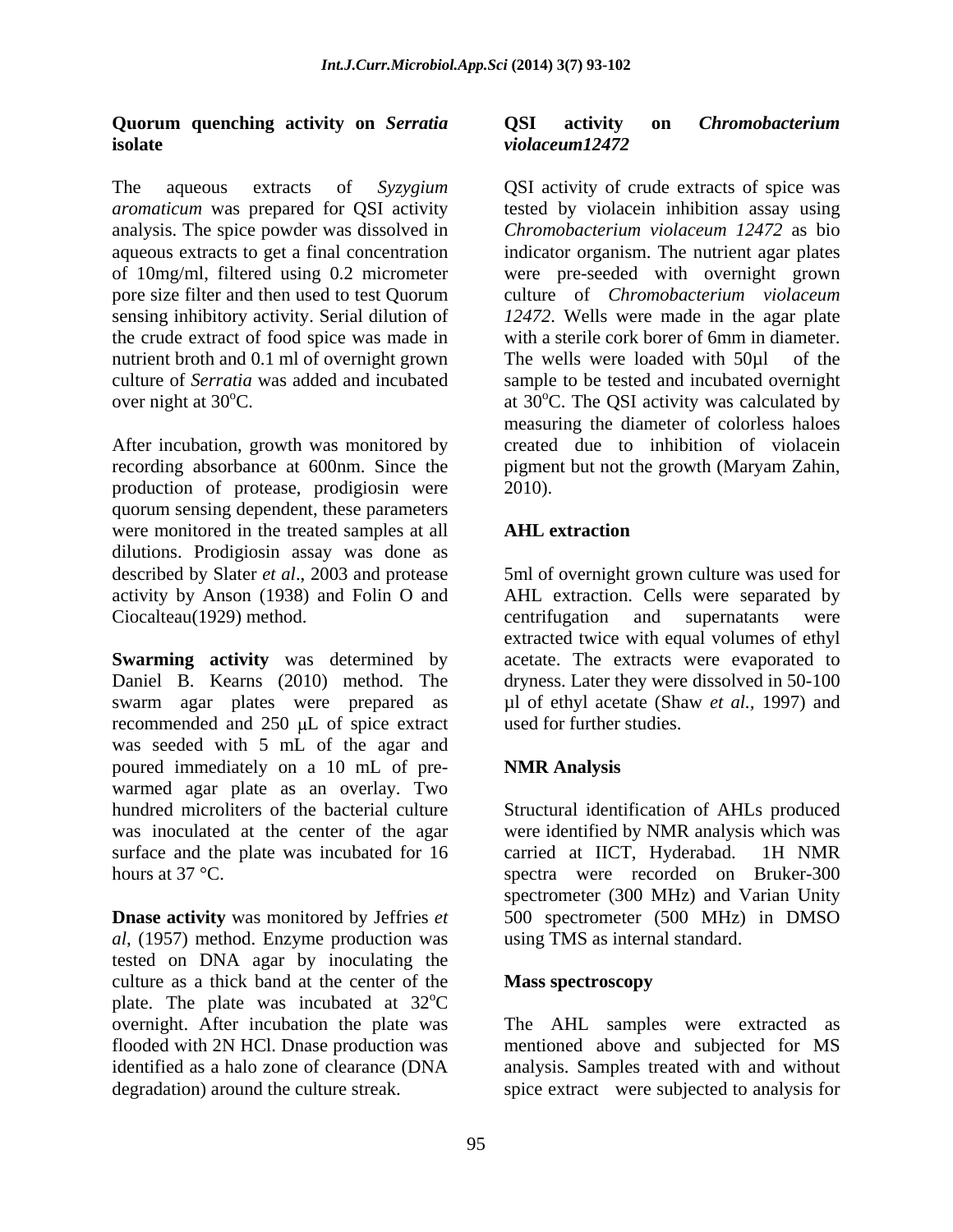# **Quorum quenching activity on** *Serratia*

analysis. The spice powder was dissolved in pore size filter and then used to test Quorum sensing inhibitory activity. Serial dilution of the crude extract of food spice was made in

After incubation, growth was monitored by created due to inhibition of violacein recording absorbance at 600nm. Since the pigment but not the growth (Maryam Zahin, production of protease, prodigiosin were quorum sensing dependent, these parameters were monitored in the treated samples at all **AHL** extraction dilutions. Prodigiosin assay was done as described by Slater  $et al., 2003$  and protease described by Slater *et al*., 2003 and protease 5ml of overnight grown culture was used for activity by Anson (1938) and Folin O and AHL extraction. Cells were separated by Ciocalteau(1929) method. centrifugation and supernatants were

**Swarming activity** was determined by acetate. The extracts were evaporated to Daniel B. Kearns (2010) method. The dryness. Later they were dissolved in 50-100 swarm agar plates were prepared as  $\mu$ l of ethyl acetate (Shaw *et al.,* 1997) and recommended and 250 µL of spice extract was seeded with 5 mL of the agar and poured immediately on a 10 mL of pre-<br>NMR Analysis warmed agar plate as an overlay. Two hundred microliters of the bacterial culture Structural identification of AHLs produced was inoculated at the center of the agar were identified by NMR analysis which was surface and the plate was incubated for 16 carried at IICT, Hyderabad. 1H NMR

**Dnase activity** was monitored by Jeffries *et*  500 spectrometer (500 MHz) in DMSO *al*, (1957) method. Enzyme production was tested on DNA agar by inoculating the culture as a thick band at the center of the **Mass spectroscopy** plate. The plate was incubated at  $32^{\circ}$ C oC overnight. After incubation the plate was flooded with 2N HCl. Dnase production was mentioned above and subjected for MS identified as a halo zone of clearance (DNA analysis. Samples treated with and without

### **isolate**  $violaceum12472$ **QSI activity on** *Chromobacterium violaceum12472*

The aqueous extracts of *Syzygium*  QSI activity of crude extracts of spice was *aromaticum* was prepared for QSI activity tested by violacein inhibition assay using aqueous extracts to get a final concentration indicator organism. The nutrient agar plates of 10mg/ml, filtered using 0.2 micrometer were pre-seeded with overnight grown nutrient broth and 0.1 ml of overnight grown The wells were loaded with 50µl of the culture of *Serratia* was added and incubated sample to be tested and incubated overnight over night at  $30^{\circ}$ C. The QSI activity was calculated by at  $30^{\circ}$ C. The QSI activity was calculated by *Chromobacterium violaceum 12472* as bio culture of *Chromobacterium violaceum 12472*. Wells were made in the agar plate with a sterile cork borer of 6mm in diameter. measuring the diameter of colorless haloes 2010).

### **AHL extraction**

centrifugation and supernatants were extracted twice with equal volumes of ethyl used for further studies.

### **NMR Analysis**

hours at 37 °C. The spectra were recorded on Bruker-300 carried at IICT, Hyderabad. 1H NMR spectrometer (300 MHz) and Varian Unity using TMS as internal standard.

### **Mass spectroscopy**

degradation) around the culture streak. spice extract were subjected to analysis forThe AHL samples were extracted as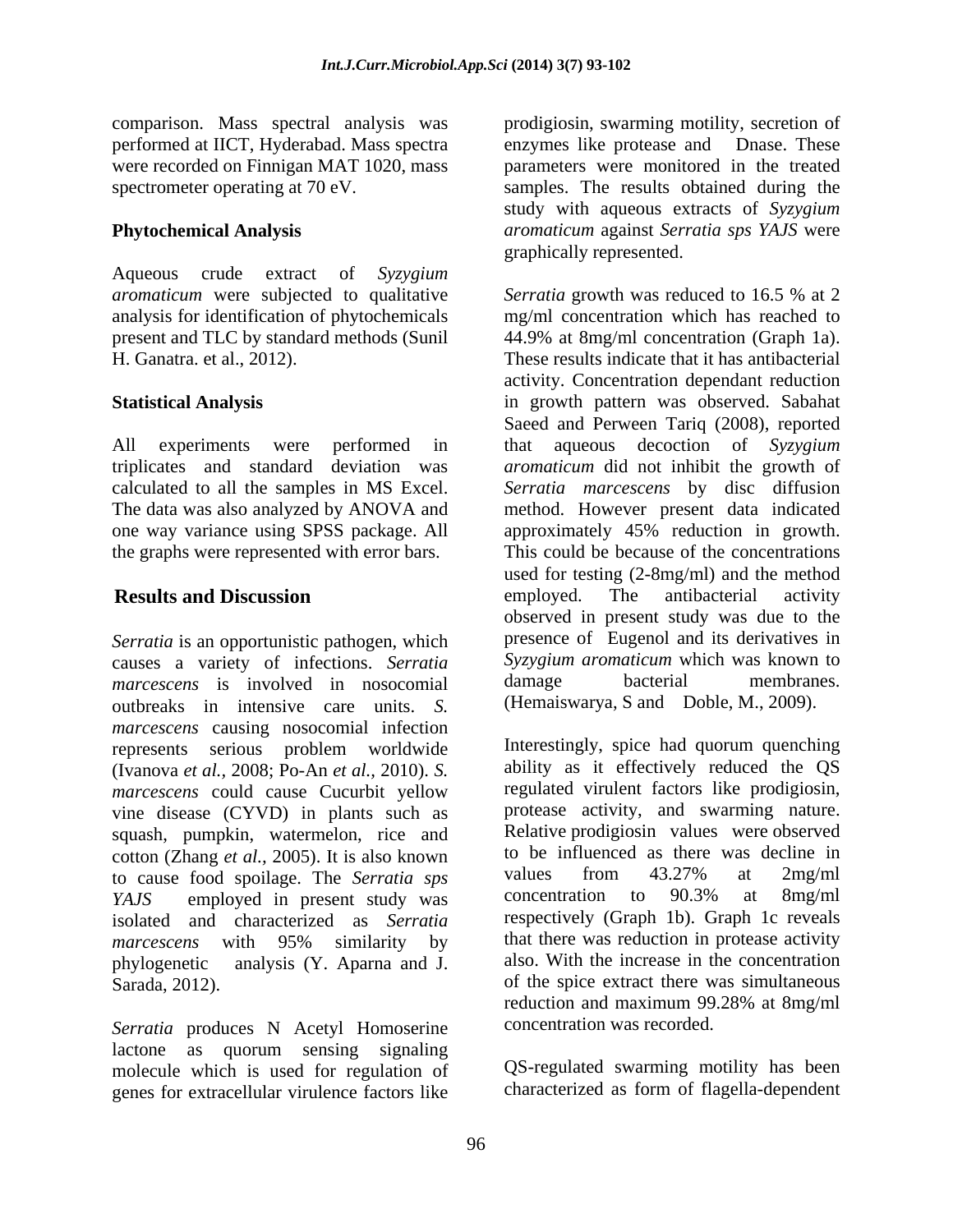performed at IICT, Hyderabad. Mass spectra

Aqueous crude extract of *Syzygium aromaticum* were subjected to qualitative *Serratia* growth was reduced to 16.5 % at 2

All experiments were performed in that aqueous decoction of Syzygium triplicates and standard deviation was *aromaticum* did not inhibit the growth of calculated to all the samples in MS Excel. the graphs were represented with error bars.

*Serratia* is an opportunistic pathogen, which causes a variety of infections. *Serratia Syzygium aromaticum* which was known to marcescens is involved in nosocomial damage bacterial membranes. *marcescens* is involved in nosocomial outbreaks in intensive care units. *S. marcescens* causing nosocomial infection<br> **Example 19** represents serious problem worldwide Interestingly, spice had quorum quenching represents serious problem worldwide (Ivanova *et al.,* 2008; Po-An *et al.,* 2010). *S. marcescens* could cause Cucurbit yellow vine disease (CYVD) in plants such as squash, pumpkin, watermelon, rice and cotton (Zhang *et al.*, 2005). It is also known to be influenced as there was decline in<br>to cause food spoilage. The *Serratia* sps. values from 43.27% at 2mg/ml to cause food spoilage. The *Serratia sps* values from 43.27% at 2mg/ml values are employed in present study was concentration to 90.3% at 8mg/ml *YAJS* employed in present study was isolated and characterized as *Serratia* 

*Serratia* produces N Acetyl Homoserine lactone as quorum sensing signaling molecule which is used for regulation of genes for extracellular virulence factors like

comparison. Mass spectral analysis was prodigiosin, swarming motility, secretion of were recorded on Finnigan MAT 1020, mass parameters were monitored in the treated spectrometer operating at 70 eV. samples. The results obtained during the **Phytochemical Analysis** *aromaticum* against *Serratia sps YAJS* were enzymes like protease and study with aqueous extracts of *Syzygium*  graphically represented.

analysis for identification of phytochemicals mg/ml concentration which has reached to present and TLC by standard methods (Sunil 44.9% at 8mg/ml concentration (Graph 1a). H. Ganatra. et al., 2012). These results indicate that it has antibacterial **Statistical Analysis** in growth pattern was observed. Sabahat The data was also analyzed by ANOVA and method. However present data indicated one way variance using SPSS package. All approximately 45% reduction in growth. **Results and Discussion Example 2** and **Properties CO** and **Properties C** and **Properties C** and **Properties C** and **Properties C** and **Properties C** and **Properties C** and **Properties C** and **Properties** *Serratia* growth was reduced to 16.5 % at 2 activity. Concentration dependant reduction Saeed and Perween Tariq (2008), reported that aqueous decoction of *Syzygium aromaticum* did not inhibit the growth of *Serratia marcescens* by disc diffusion This could be because of the concentrations used for testing (2-8mg/ml) and the method employed. The antibacterial activity observed in present study was due to the presence of Eugenol and its derivatives in *Syzygium aromaticum* which was known to damage bacterial membranes. (Hemaiswarya, S and Doble, M., 2009).

*marcescens* with 95% similarity by phylogenetic analysis (Y. Aparna and J. also. With the increase in the concentration Sarada, 2012). **Sarada**, 2012. Interestingly, spice had quorum quenching ability as it effectively reduced the QS regulated virulent factors like prodigiosin, protease activity, and swarming nature. Relative prodigiosin values were observed to be influenced as there was decline in values from 43.27% at 2mg/ml concentration to 90.3% at 8mg/ml respectively (Graph 1b). Graph 1c reveals that there was reduction in protease activity reduction and maximum 99.28% at 8mg/ml concentration was recorded.

> QS-regulated swarming motility has been characterized as form of flagella-dependent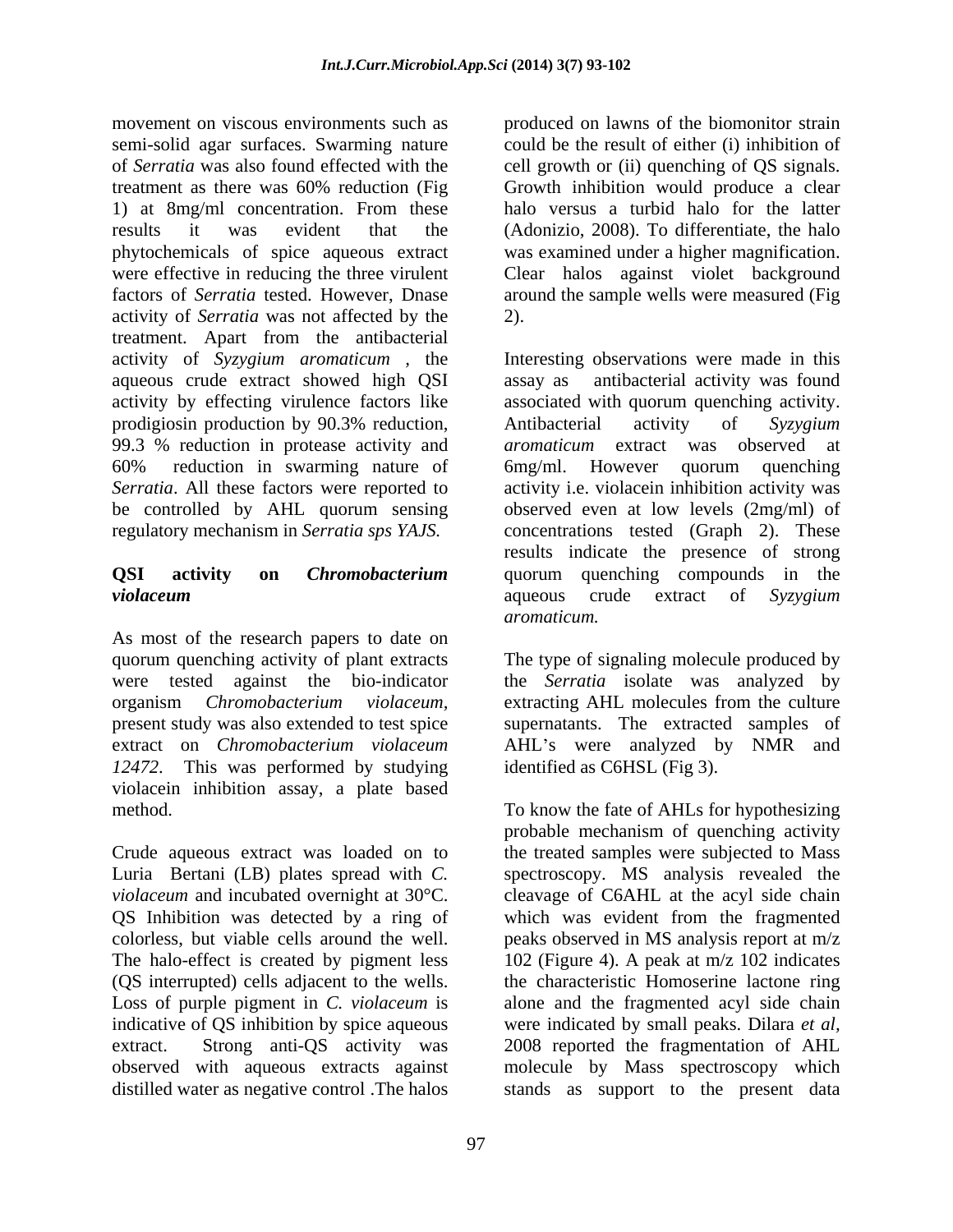movement on viscous environments such as produced on lawns of the biomonitor strain semi-solid agar surfaces. Swarming nature could be the result of either (i) inhibition of of *Serratia* was also found effected with the cell growth or (ii) quenching of QS signals. treatment as there was 60% reduction (Fig Growth inhibition would produce a clear 1) at 8mg/ml concentration. From these results it was evident that the (Adonizio, 2008). To differentiate, the halo phytochemicals of spice aqueous extract was examined under a higher magnification. were effective in reducing the three virulent Clear halos against violet background factors of *Serratia* tested. However, Dnase around the sample wells were measured (Fig activity of *Serratia* was not affected by the treatment. Apart from the antibacterial activity of *Syzygium aromaticum ,* the aqueous crude extract showed high QSI activity by effecting virulence factors like associated with quorum quenching activity. prodigiosin production by 90.3% reduction, Antibacterial activity of Syzygium 99.3 % reduction in protease activity and *aromaticum* extract was observed at 60% reduction in swarming nature of Serratia. All these factors were reported to activity i.e. violacein inhibition activity was be controlled by AHL quorum sensing

As most of the research papers to date on *12472*. This was performed by studying violacein inhibition assay, a plate based

Crude aqueous extract was loaded on to Luria Bertani (LB) plates spread with *C.*  (QS interrupted) cells adjacent to the wells. Loss of purple pigment in *C. violaceum* is

halo versus a turbid halo for the latter 2).

regulatory mechanism in *Serratia sps YAJS.* concentrations tested (Graph 2). These **QSI activity on** *Chromobacterium*  quorum quenching compounds in the *violaceum* Interesting observations were made in this antibacterial activity was found Antibacterial activity of *Syzygium*  6mg/ml. However quorum quenching observed even at low levels (2mg/ml) of results indicate the presence of strong aqueous crude extract of *Syzygium aromaticum.*

quorum quenching activity of plant extracts The type of signaling molecule produced by were tested against the bio-indicator the *Serratia* isolate was analyzed by organism *Chromobacterium violaceum,* extracting AHL molecules from the culture present study was also extended to test spice supernatants. The extracted samples of extract on *Chromobacterium violaceum* AHL's were analyzed by NMR and identified as C6HSL (Fig 3).

method. To know the fate of AHLs for hypothesizing *violaceum* and incubated overnight at 30°C. cleavage of C6AHL at the acyl side chain QS Inhibition was detected by a ring of which was evident from the fragmented colorless, but viable cells around the well. peaks observed in MS analysis report at m/z The halo-effect is created by pigment less 102 (Figure 4). A peak at m/z 102 indicates indicative of QS inhibition by spice aqueous were indicated by small peaks. Dilara *et al,* extract. Strong anti-QS activity was 2008 reported the fragmentation of AHL observed with aqueous extracts against molecule by Mass spectroscopy which distilled water as negative control .The halos stands as support to the present dataprobable mechanism of quenching activity the treated samples were subjected to Mass spectroscopy. MS analysis revealed the the characteristic Homoserine lactone ring alone and the fragmented acyl side chain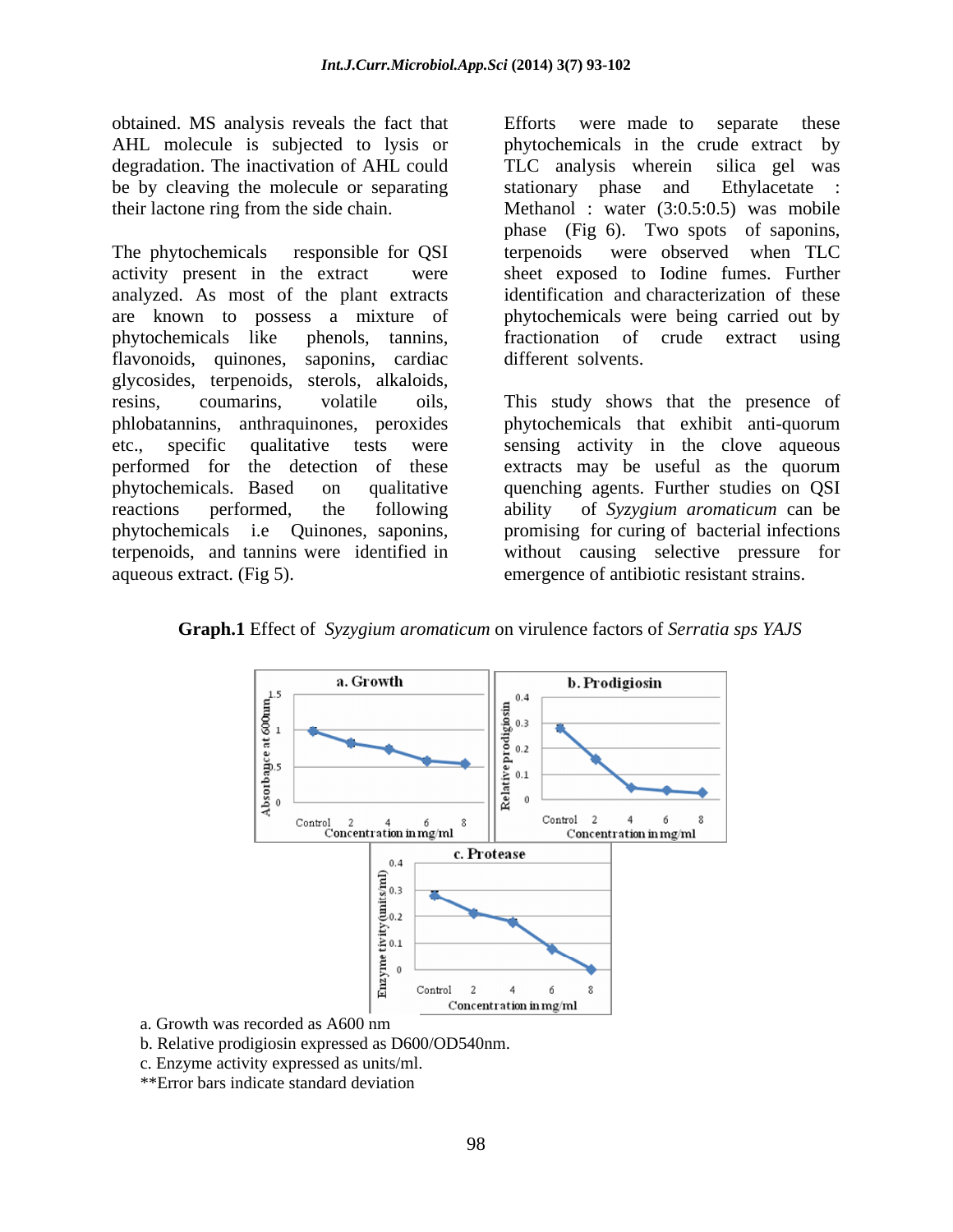obtained. MS analysis reveals the fact that degradation. The inactivation of AHL could TLC analysis wherein silica gel was be by cleaving the molecule or separating stationary phase and Ethylacetate :

The phytochemicals responsible for QSI terpenoids were observed when TLC activity present in the extract were sheet exposed to Iodine fumes. Further analyzed. As most of the plant extracts are known to possess a mixture of phytochemicals were being carried out by phytochemicals like phenols, tannins, flavonoids, quinones, saponins, cardiac glycosides, terpenoids, sterols, alkaloids, resins, coumarins, volatile oils, This study shows that the presence of phlobatannins, anthraquinones, peroxides phytochemicals that exhibit anti-quorum etc., specific qualitative tests were sensing activity in the clove aqueous performed for the detection of these extracts may be useful as the quorum phytochemicals. Based on qualitative quenching agents. Further studies on QSI reactions performed, the following ability of Syzygium aromaticum can be phytochemicals i.e Quinones, saponins, promising for curing of bacterial infections terpenoids, and tannins were identified in without causing selective pressure for obtained. MS analysis reveals the fact that<br>
Efforts were made to separate these<br>
AHL molecule is subjected to lysis or<br>
by degradation. The inactivation of AHL could<br>
TLC analysis wherein silica gel was<br>
be by cleaving th

AHL molecule is subjected to lysis or phytochemicals in the crude extract by their lactone ring from the side chain. Methanol : water (3:0.5:0.5) was mobile TLC analysis wherein silica gel was stationary phase and Ethylacetate : phase (Fig 6). Two spots of saponins, terpenoids were observed when TLC identification and characterization of these fractionation of crude extract using different solvents.

> ability of *Syzygium aromaticum* can be emergence of antibiotic resistant strains.

**Graph.1** Effect of *Syzygium aromaticum* on virulence factors of *Serratia sps YAJS*



b. Relative prodigiosin expressed as D600/OD540nm.

c. Enzyme activity expressed as units/ml.

\*\*Error bars indicate standard deviation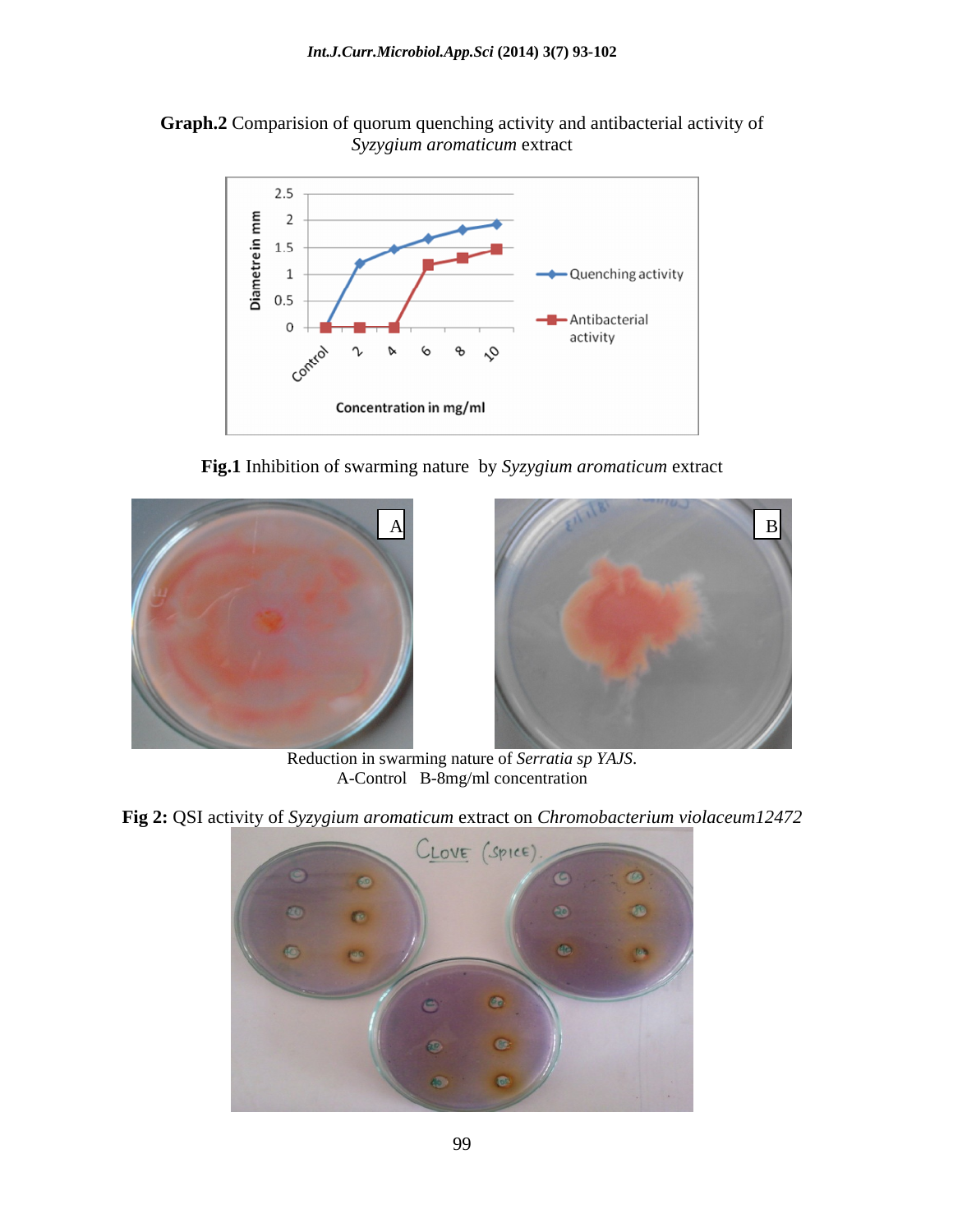**Graph.2** Comparision of quorum quenching activity and antibacterial activity of *Syzygium aromaticum* extract



**Fig.1** Inhibition of swarming nature by *Syzygium aromaticum* extract



 Reduction in swarming nature of *Serratia sp YAJS*. A-Control B-8mg/ml concentration

**Fig 2:** QSI activity of *Syzygium aromaticum* extract on *Chromobacterium violaceum12472*

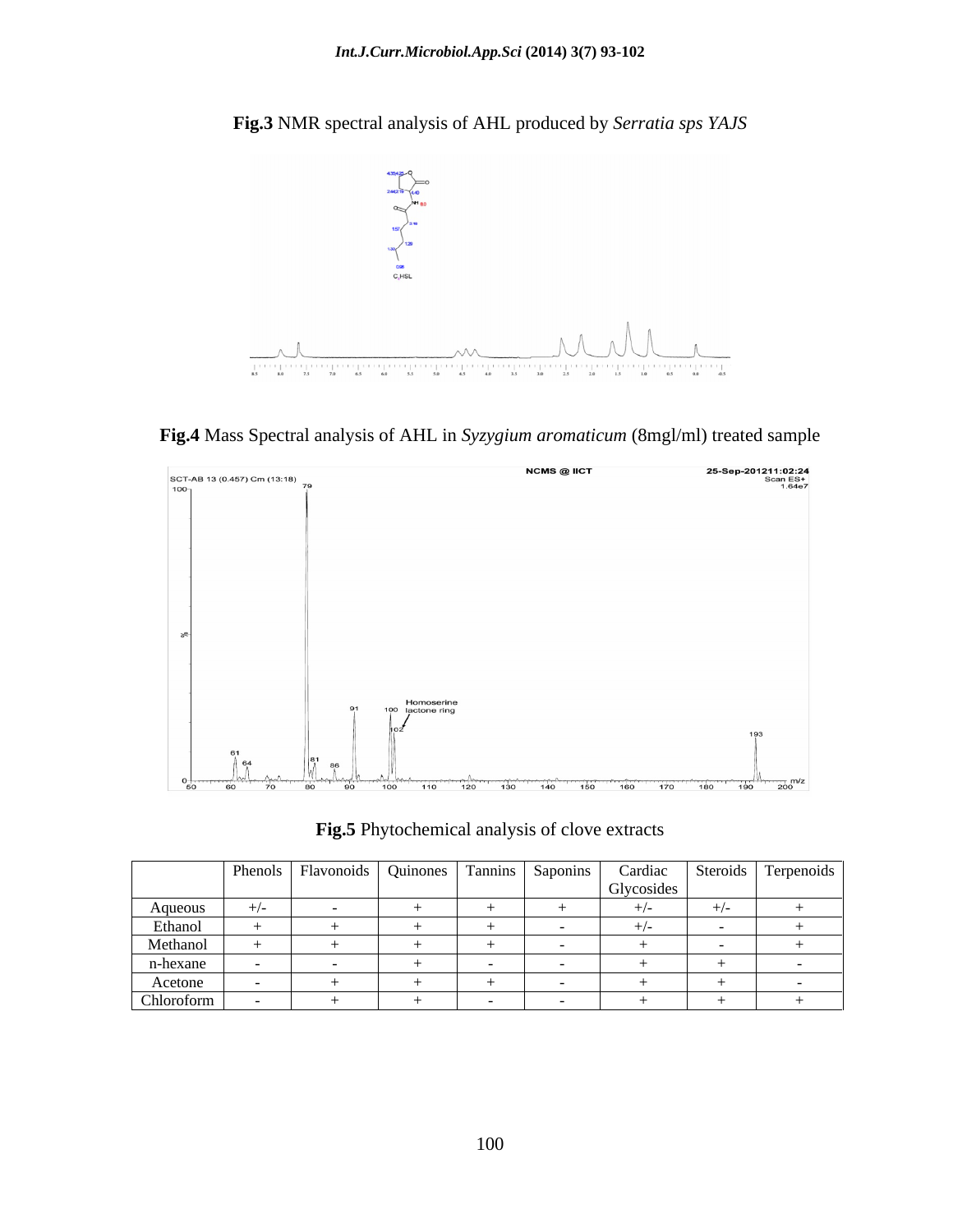**Fig.3** NMR spectral analysis of AHL produced by *Serratia sps YAJS*



**Fig.4** Mass Spectral analysis of AHL in *Syzygium aromaticum* (8mgl/ml) treated sample



**Fig.5** Phytochemical analysis of clove extracts

|                                  | Phenols   Flavonoids   Quinones |     | Tannins   Saponins | Cardiac                                |           | Steroids Terpenoids |
|----------------------------------|---------------------------------|-----|--------------------|----------------------------------------|-----------|---------------------|
|                                  |                                 |     |                    | Glycosides<br>$\overline{\phantom{a}}$ |           |                     |
| Aqueous                          |                                 |     |                    | $+$ $-$                                | $+$ ( $-$ |                     |
| Ethanol                          |                                 |     |                    | $+/-$                                  | $-$       |                     |
| Methanol                         |                                 |     |                    |                                        |           |                     |
| n-hexane                         |                                 |     |                    |                                        |           |                     |
| Acetone                          |                                 |     |                    |                                        |           |                     |
| Chloroform<br>the control of the |                                 | $-$ |                    |                                        |           |                     |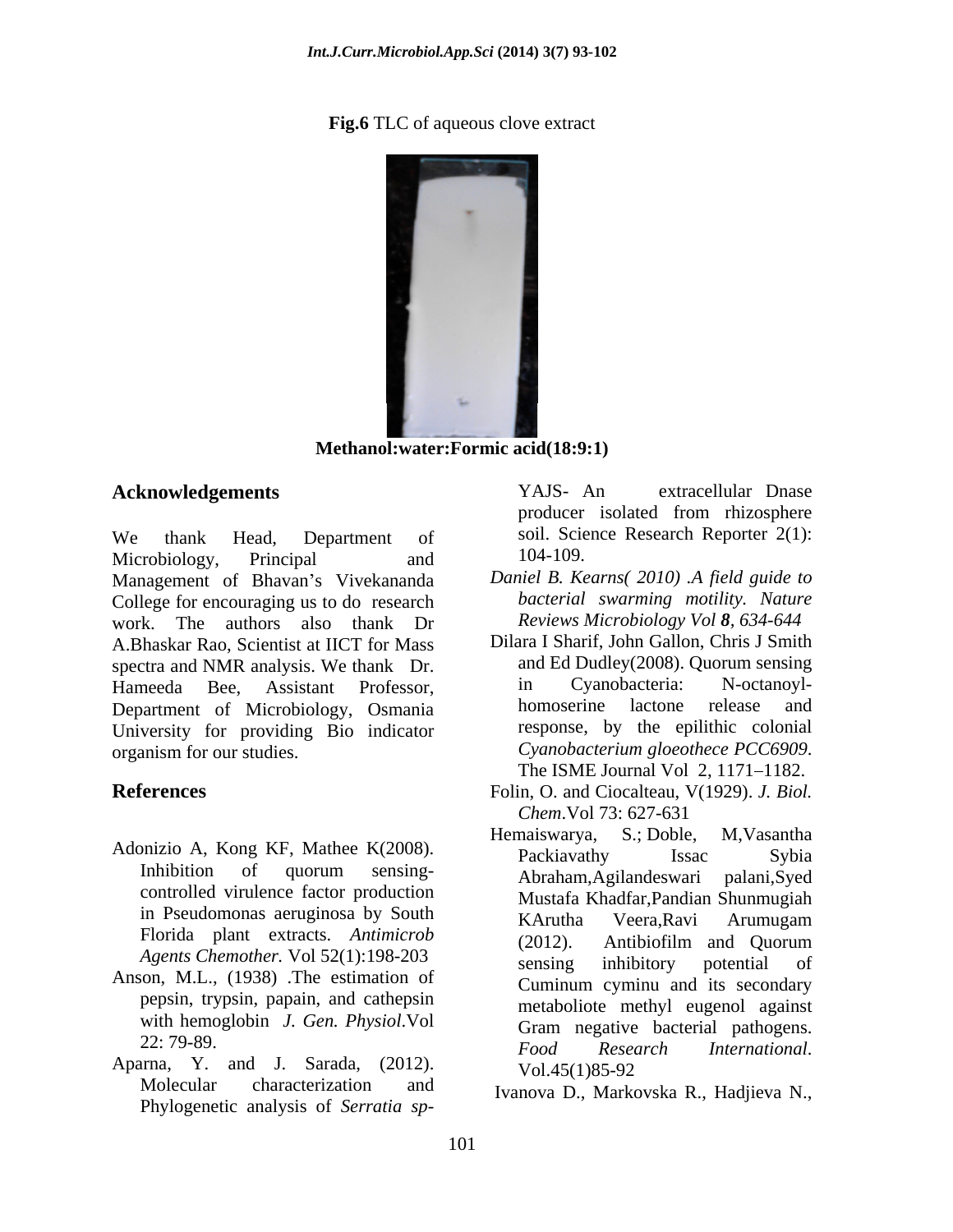**Fig.6** TLC of aqueous clove extract



**Methanol:water:Formic acid(18:9:1)**

We thank Head, Department of soil. Science Research Reporter 2(1): Microbiology, Principal and 104-109. Management of Bhavan's Vivekananda College for encouraging us to do research work. The authors also thank Dr A.Bhaskar Rao, Scientist at IICT for Mass spectra and NMR analysis. We thank Dr. and Ed Dudley (2008). Quorum sensing<br>
Hameeda Bee Assistant Professor in Cyanobacteria: N-octanoyl-Hameeda Bee, Assistant Professor, Department of Microbiology, Osmania homoserine lactone release and University for providing Bio indicator

- 
- Anson, M.L., (1938) .The estimation of Cuminum cyminu and its secondary pepsin, trypsin, papain, and cathepsin
- Aparna, Y. and J. Sarada, (2012). Vol. 45(1)85-92 Molecular characterization and Ivanova D., Markovska R., Hadjieva N.,

**Acknowledgements Acknowledgements PAJS**- An extracellular Dnase producer isolated from rhizosphere 104-109.

- *Daniel B. Kearns( 2010) .A field guide to bacterial swarming motility. Nature Reviews Microbiology Vol 8, 634-644*
- organism for our studies.<br>Cyanobacterium gloeothece PCC6909.<br>The ISME Journal Vol 2, 1171–1182. Dilara I Sharif, John Gallon, Chris J Smith and Ed Dudley(2008). Quorum sensing in Cyanobacteria: N-octanoyl homoserine lactone release and response, by the epilithic colonial *Cyanobacterium gloeothece PCC6909*. The ISME Journal Vol 2, 1171 1182.
- **References** Folin, O. and Ciocalteau, V(1929). *J. Biol. Chem*.Vol 73: 627-631
- Adonizio A, Kong KF, Mathee K(2008). Hemaiswarya, S.; Doble, M, Vasantha<br>Packiavathy Issac Sybia Inhibition of quorum sensing-<br>Abraham Agilandeswari palani Sved minution or quorum sensing-<br>controlled virulence factor production<br>Mustafa Khadfar Pandian Shummuzish in Pseudomonas aeruginosa by South KArutha Veera, Ravi Arumugam Florida plant extracts. *Antimicrob* (2012). Antibiofilm and Quorum *Agents Chemother.* Vol 52(1):198-203 sensing inhibitory potential of with hemoglobin *J. Gen. Physiol*.Vol Gram negative bacterial pathogens. 22: 79-89. **Exampledgements**<br> **Phylogenetic analysis of Alexanis Correlation (Serial Science Research Reporter 2(1):**<br> **Consider an analysis of the syring and David B. Recentral Science Research Reporter 2(1):**<br> **Example 10** Conseque Hemaiswarya, S.; Doble, M,Vasantha Packiavathy Issac Sybia Abraham,Agilandeswari palani,Syed Mustafa Khadfar,Pandian Shunmugiah KArutha Veera,Ravi Arumugam (2012). Antibiofilm and Quorum sensing inhibitory potential of Cuminum cyminu and its secondary metaboliote methyl eugenol against Gram negative bacterial pathogens. *Food Research International*. Vol.45(1)85-92